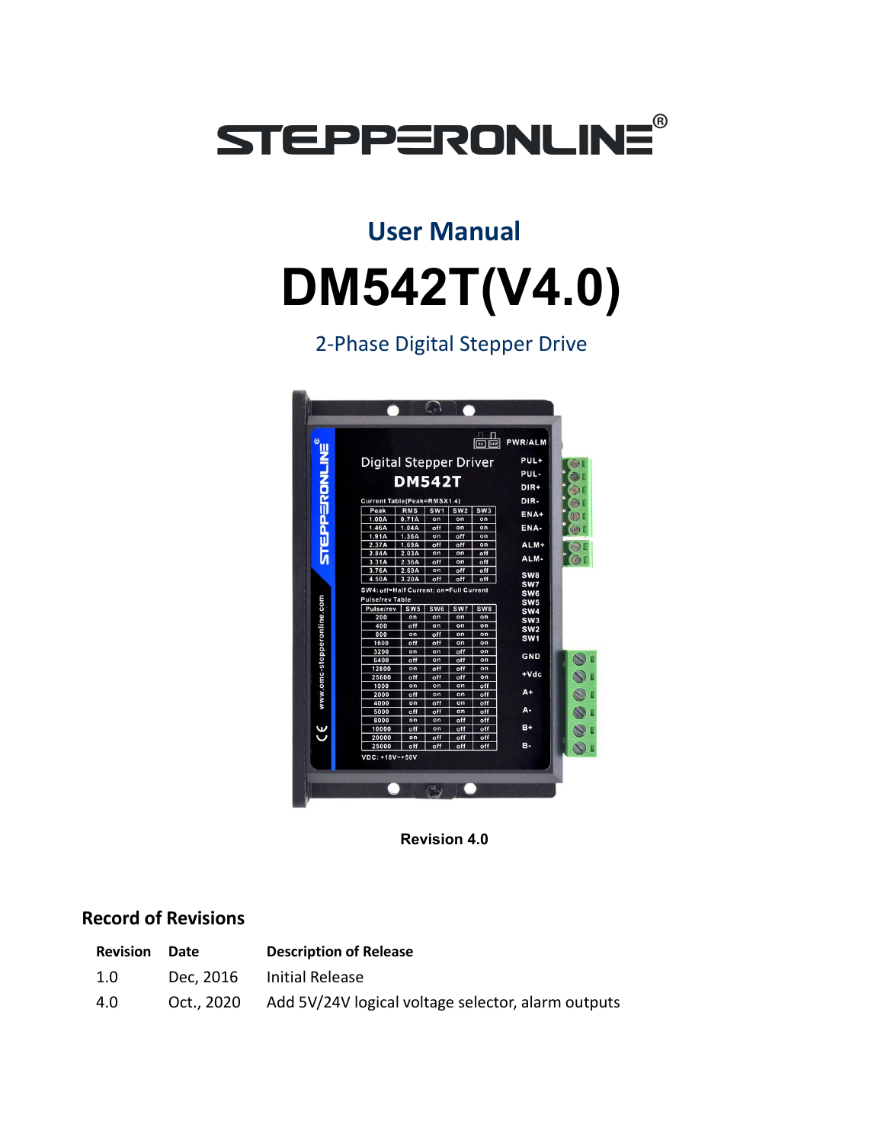

**User Manual DM542T(V4.0)**

2-Phase Digital Stepper Drive



**Revision 4.0**

### **Record of Revisions**

| <b>Revision Date</b> |            | <b>Description of Release</b>                      |
|----------------------|------------|----------------------------------------------------|
| 1.0                  | Dec. 2016  | <b>Initial Release</b>                             |
| -4.0                 | Oct., 2020 | Add 5V/24V logical voltage selector, alarm outputs |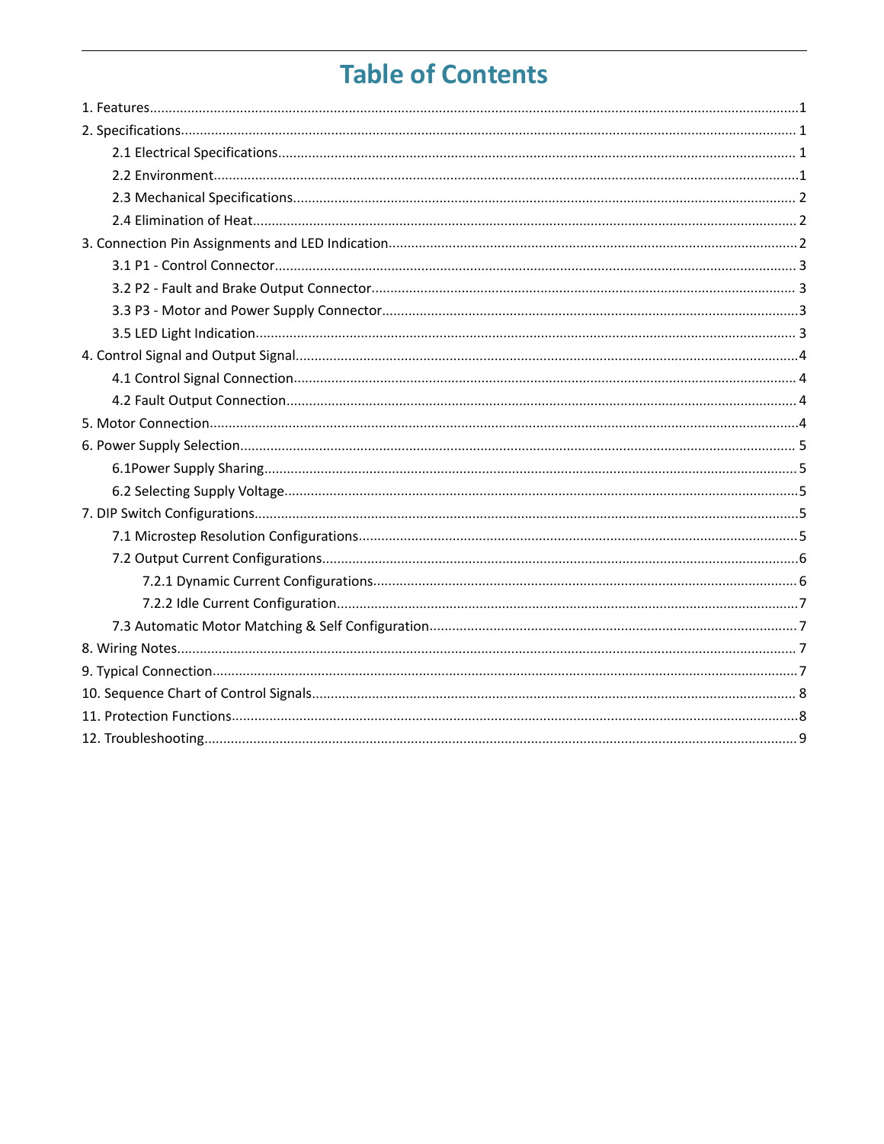## **Table of Contents**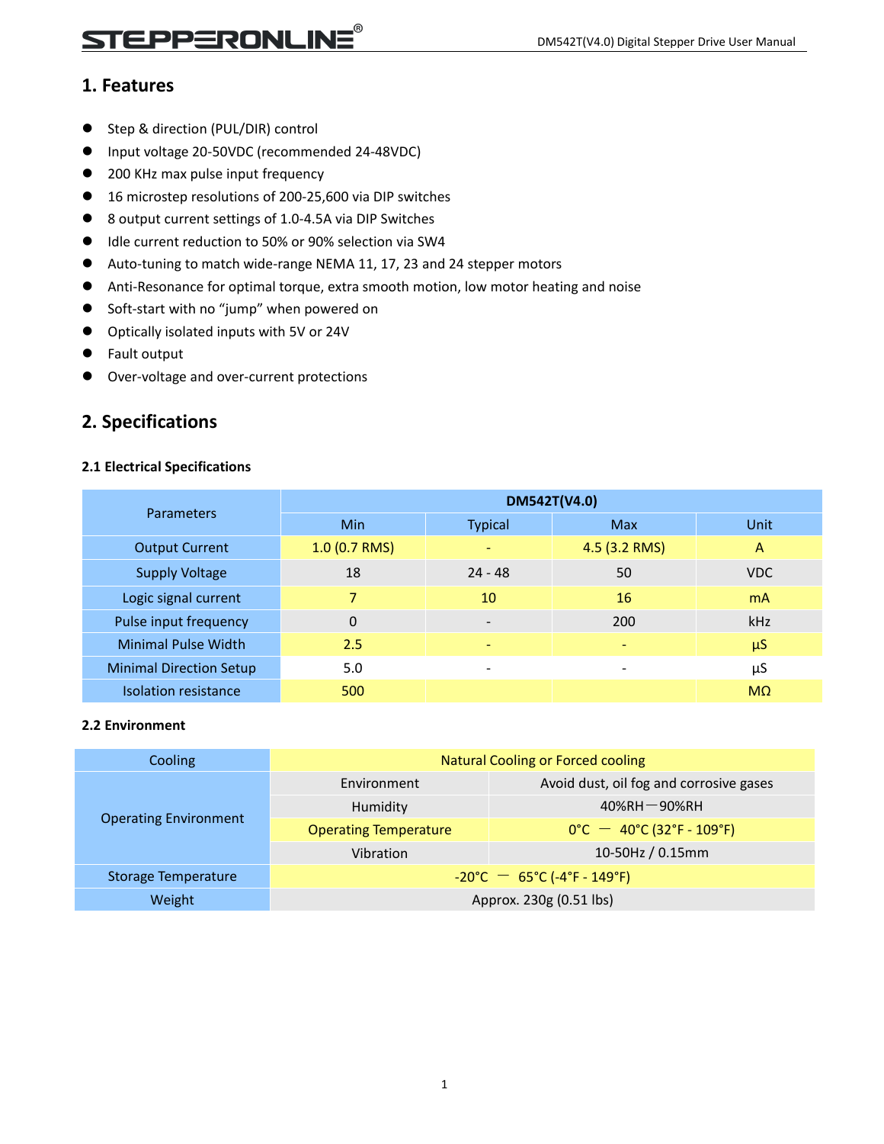# STEPPERONLINE®

## <span id="page-2-0"></span>**1. Features**

- Step & direction (PUL/DIR) control
- Input voltage 20-50VDC (recommended 24-48VDC)
- 200 KHz max pulse input frequency
- 16 microstep resolutions of 200-25,600 via DIP switches
- 8 output current settings of 1.0-4.5A via DIP Switches
- Idle current reduction to 50% or 90% selection via SW4
- Auto-tuning to match wide-range NEMA 11, 17, 23 and 24 stepper motors
- Anti-Resonance for optimal torque, extra smooth motion, low motor heating and noise
- Soft-start with no "jump" when powered on
- Optically isolated inputs with 5V or 24V
- **•** Fault output
- Over-voltage and over-current protections

### <span id="page-2-1"></span>**2. Specifications**

#### <span id="page-2-2"></span>**2.1 Electrical Specifications**

|                                | DM542T(V4.0)  |                          |                          |              |  |  |  |
|--------------------------------|---------------|--------------------------|--------------------------|--------------|--|--|--|
| <b>Parameters</b>              | <b>Min</b>    | <b>Typical</b>           | <b>Max</b>               | Unit         |  |  |  |
| <b>Output Current</b>          | 1.0 (0.7 RMS) |                          | 4.5 (3.2 RMS)            | $\mathsf{A}$ |  |  |  |
| <b>Supply Voltage</b>          | 18            | $24 - 48$                | 50                       | VDC          |  |  |  |
| Logic signal current           | ⇁             | 10                       | 16                       | <b>mA</b>    |  |  |  |
| Pulse input frequency          | 0             | $\overline{\phantom{a}}$ | 200                      | kHz          |  |  |  |
| <b>Minimal Pulse Width</b>     | 2.5           | $\overline{\phantom{a}}$ | ٠                        | $\mu$ S      |  |  |  |
| <b>Minimal Direction Setup</b> | 5.0           | $\overline{\phantom{0}}$ | $\overline{\phantom{a}}$ | μS           |  |  |  |
| <b>Isolation resistance</b>    | 500           |                          |                          | $M\Omega$    |  |  |  |

#### <span id="page-2-3"></span>**2.2 Environment**

| Cooling                      | <b>Natural Cooling or Forced cooling</b>                               |                                                                        |  |
|------------------------------|------------------------------------------------------------------------|------------------------------------------------------------------------|--|
|                              | Environment                                                            | Avoid dust, oil fog and corrosive gases                                |  |
|                              | Humidity                                                               | $40\%$ RH $-90\%$ RH                                                   |  |
| <b>Operating Environment</b> | <b>Operating Temperature</b>                                           | $0^{\circ}$ C $-$ 40 $^{\circ}$ C (32 $^{\circ}$ F - 109 $^{\circ}$ F) |  |
|                              | 10-50Hz / 0.15mm<br>Vibration                                          |                                                                        |  |
| <b>Storage Temperature</b>   | $-20^{\circ}$ C = 65 $^{\circ}$ C (-4 $^{\circ}$ F - 149 $^{\circ}$ F) |                                                                        |  |
| Weight                       | Approx. 230g (0.51 lbs)                                                |                                                                        |  |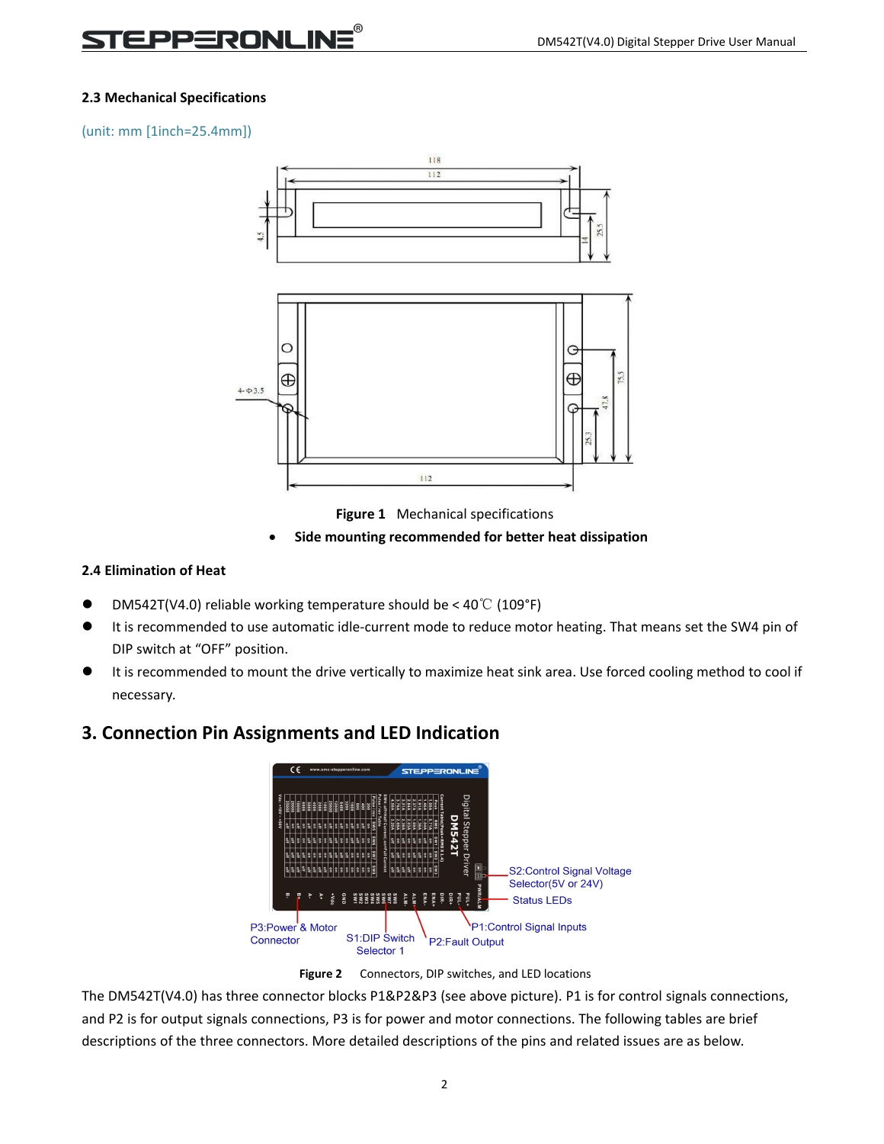## <span id="page-3-0"></span>STEPP ERONLINE®

#### **2.3 Mechanical Specifications**

#### (unit: mm [1inch=25.4mm])





#### **Side mounting recommended for better heat dissipation**

#### <span id="page-3-1"></span>**2.4 Elimination of Heat**

- **O** DM542T(V4.0) reliable working temperature should be <  $40^{\circ}$ C (109°F)
- It is recommended to use automatic idle-current mode to reduce motor heating. That means set the SW4 pin of DIP switch at "OFF" position.
- It is recommended to mount the drive vertically to maximize heat sink area. Use forced cooling method to cool if necessary.

### <span id="page-3-2"></span>**3. Connection Pin Assignments and LED Indication**



**Figure 2** Connectors, DIP switches, and LED locations

The DM542T(V4.0) has three connector blocks P1&P2&P3 (see above picture). P1 is for control signals connections, and P2 is for output signals connections, P3 is for power and motor connections. The following tables are brief descriptions of the three connectors. More detailed descriptions of the pins and related issues are as below.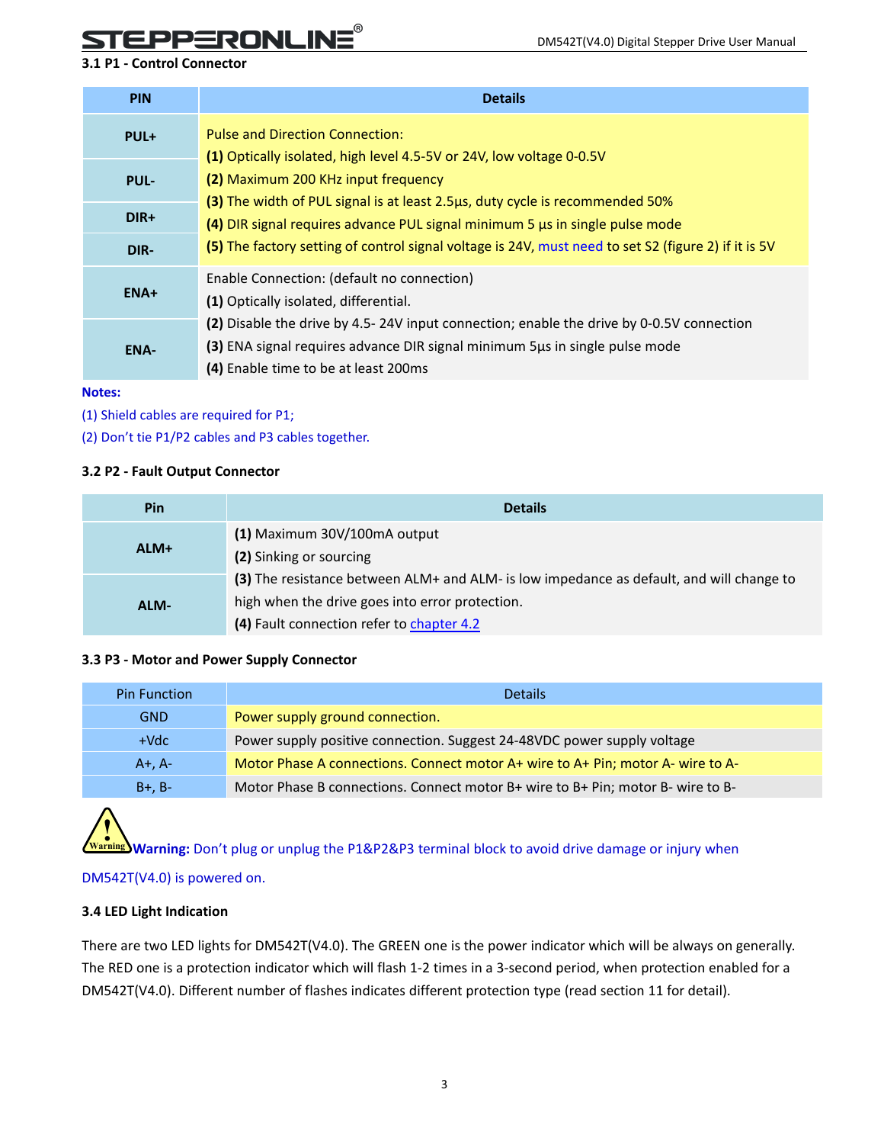# **PPERONLINE®**

#### <span id="page-4-0"></span>**3.1 P1 - Control Connector**

| <b>PIN</b> | <b>Details</b>                                                                                                                                                          |  |  |  |  |  |
|------------|-------------------------------------------------------------------------------------------------------------------------------------------------------------------------|--|--|--|--|--|
| PUL+       | <b>Pulse and Direction Connection:</b>                                                                                                                                  |  |  |  |  |  |
|            | (1) Optically isolated, high level 4.5-5V or 24V, low voltage 0-0.5V                                                                                                    |  |  |  |  |  |
| PUL-       | (2) Maximum 200 KHz input frequency<br>(3) The width of PUL signal is at least 2.5µs, duty cycle is recommended 50%                                                     |  |  |  |  |  |
| $DIR+$     | (4) DIR signal requires advance PUL signal minimum 5 us in single pulse mode                                                                                            |  |  |  |  |  |
| DIR-       | (5) The factory setting of control signal voltage is 24V, must need to set S2 (figure 2) if it is 5V                                                                    |  |  |  |  |  |
| ENA+       | Enable Connection: (default no connection)                                                                                                                              |  |  |  |  |  |
|            | (1) Optically isolated, differential.                                                                                                                                   |  |  |  |  |  |
| ENA-       | (2) Disable the drive by 4.5-24V input connection; enable the drive by 0-0.5V connection<br>(3) ENA signal requires advance DIR signal minimum 5us in single pulse mode |  |  |  |  |  |
|            | (4) Enable time to be at least 200ms                                                                                                                                    |  |  |  |  |  |

#### **Notes:**

(1) Shield cables are required for P1;

(2) Don't tie P1/P2 cables and P3 cables together.

#### <span id="page-4-1"></span>**3.2 P2 - Fault Output Connector**

| Pin. | <b>Details</b>                                                                           |
|------|------------------------------------------------------------------------------------------|
|      | (1) Maximum 30V/100mA output                                                             |
| ALM+ | (2) Sinking or sourcing                                                                  |
|      | (3) The resistance between ALM+ and ALM- is low impedance as default, and will change to |
| ALM- | high when the drive goes into error protection.                                          |
|      | (4) Fault connection refer to chapter 4.2                                                |

#### <span id="page-4-2"></span>**3.3 P3 - Motor and Power Supply Connector**

| <b>Pin Function</b> | <b>Details</b>                                                                  |  |
|---------------------|---------------------------------------------------------------------------------|--|
| <b>GND</b>          | Power supply ground connection.                                                 |  |
| $+$ Vdc             | Power supply positive connection. Suggest 24-48VDC power supply voltage         |  |
| $A+$ , $A-$         | Motor Phase A connections. Connect motor A+ wire to A+ Pin; motor A- wire to A- |  |
| $B + B -$           | Motor Phase B connections. Connect motor B+ wire to B+ Pin; motor B- wire to B- |  |

**! Warning Warning:** Don't plug or unplug the P1&P2&P3 terminal block to avoid drive damage or injury when

#### DM542T(V4.0) is powered on.

#### <span id="page-4-3"></span>**3.4 LED Light Indication**

There are two LED lights for DM542T(V4.0). The GREEN one is the powerindicator which will be always on generally. The RED one is a protection indicator which will flash 1-2 times in a 3-second period, when protection enabled for a DM542T(V4.0). Different number of flashes indicates different protection type (read section 11 for detail).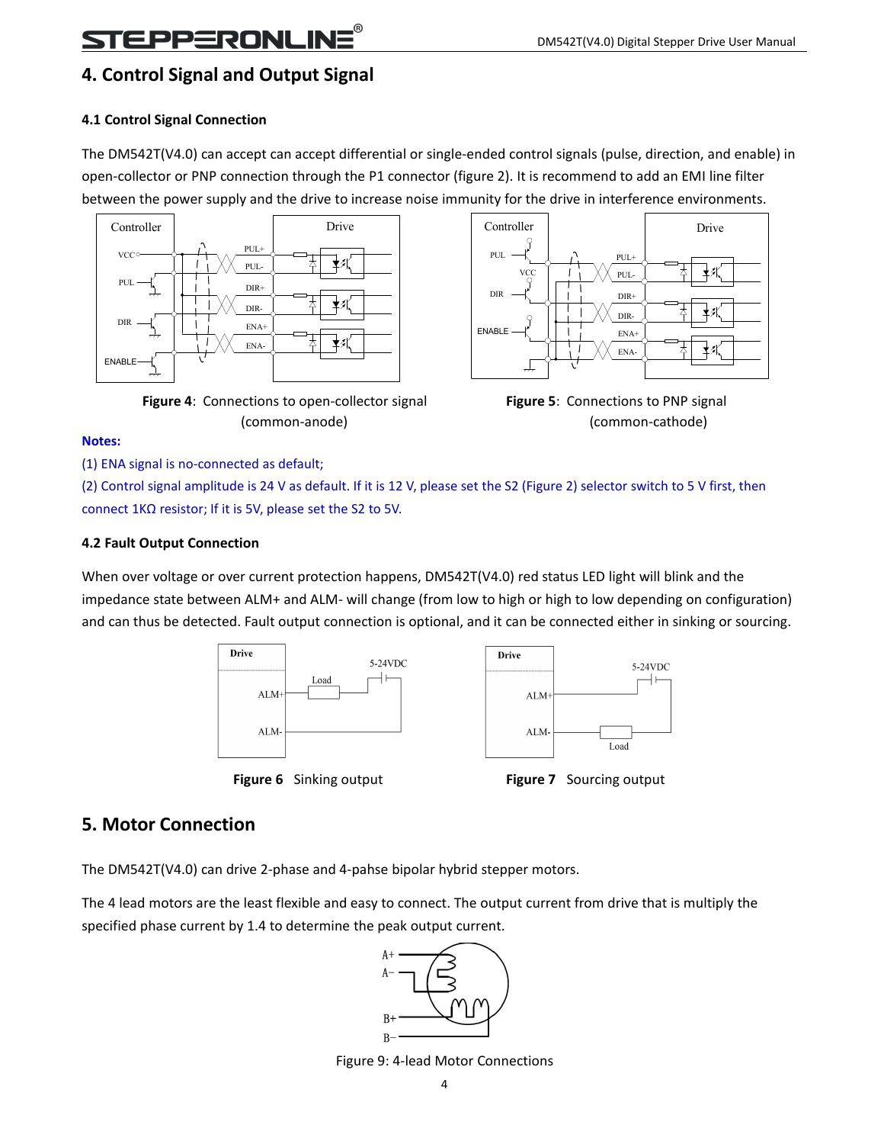## **STEPPERONLIN**

## <span id="page-5-0"></span>**4. Control Signal and Output Signal**

### <span id="page-5-1"></span>**4.1 Control Signal Connection**

The DM542T(V4.0) can accept can accept differential or single-ended control signals (pulse, direction, and enable) in open-collector or PNP connection through the P1 connector (figure 2). It is recommend to add an EMI line filter between the power supply and the drive to increase noise immunity for the drive in interference environments.



**Figure 4**: Connections to open-collector signal **Figure 5**: Connections to PNP signal



(common-anode) (common-cathode)

#### **Notes:**

(1) ENA signal is no-connected as default;

(2) Control signal amplitude is 24 V as default. If it is 12 V, please set the S2 (Figure 2) selector switch to 5 V first, then connect 1KΩ resistor; If it is 5V, please set the S2 to 5V.

#### <span id="page-5-2"></span>**4.2 Fault Output Connection**

When over voltage or over current protection happens, DM542T(V4.0) red status LED light will blink and the impedance state between ALM+ and ALM- will change (from low to high or high to low depending on configuration) and can thus be detected. Fault output connection is optional, and it can be connected either in sinking or sourcing.





## <span id="page-5-3"></span>**5. Motor Connection**

The DM542T(V4.0) can drive 2-phase and 4-pahse bipolar hybrid stepper motors.

The 4 lead motors are the least flexible and easy to connect. The output current from drive that is multiply the specified phase current by 1.4 to determine the peak output current.



Figure 9: 4-lead Motor Connections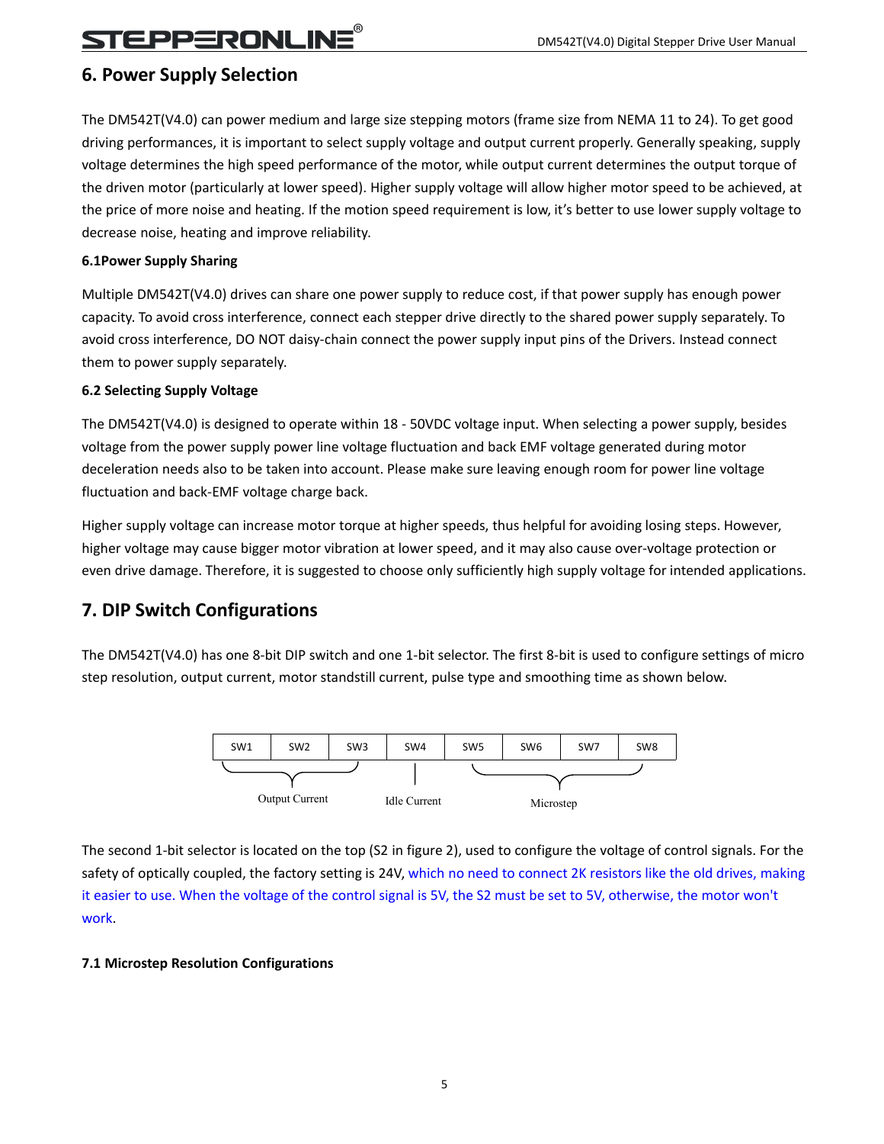STEPPERONLINE®

### <span id="page-6-0"></span>**6. Power Supply Selection**

The DM542T(V4.0) can power medium and large size stepping motors (frame size from NEMA 11 to 24). To get good driving performances, it is important to select supply voltage and output current properly. Generally speaking, supply voltage determines the high speed performance of the motor, while output current determines the output torque of the driven motor (particularly at lower speed). Higher supply voltage will allow higher motor speed to be achieved, at the price of more noise and heating. If the motion speed requirement is low, it's better to use lower supply voltage to decrease noise, heating and improve reliability.

#### <span id="page-6-1"></span>**6.1Power Supply Sharing**

Multiple DM542T(V4.0) drives can share one power supply to reduce cost, if that power supply has enough power capacity. To avoid cross interference, connect each stepper drive directly to the shared power supply separately. To avoid cross interference, DO NOT daisy-chain connect the power supply input pins of the Drivers. Instead connect them to power supply separately.

#### <span id="page-6-2"></span>**6.2 Selecting Supply Voltage**

The DM542T(V4.0) is designed to operate within 18 - 50VDC voltage input. When selecting a power supply, besides voltage from the power supply power line voltage fluctuation and back EMF voltage generated during motor deceleration needs also to be taken into account. Please make sure leaving enough room for power line voltage fluctuation and back-EMF voltage charge back.

Higher supply voltage can increase motor torque at higher speeds, thus helpful for avoiding losing steps. However, higher voltage may cause bigger motor vibration at lower speed, and it may also cause over-voltage protection or even drive damage. Therefore, it is suggested to choose only sufficiently high supply voltage for intended applications.

### <span id="page-6-3"></span>**7. DIP Switch Configurations**

The DM542T(V4.0) has one 8-bit DIP switch and one 1-bit selector. The first 8-bit is used to configure settings of micro step resolution, output current, motor standstill current, pulse type and smoothing time as shown below.



The second 1-bit selector is located on the top (S2 in figure 2), used to configure the voltage of control signals. For the safety of optically coupled, the factory setting is 24V, which no need to connect 2K resistors like the old drives, making it easier to use. When the voltage of the control signal is 5V, the S2 must be set to 5V, otherwise, the motorwon't work.

#### <span id="page-6-4"></span>**7.1 Microstep Resolution Configurations**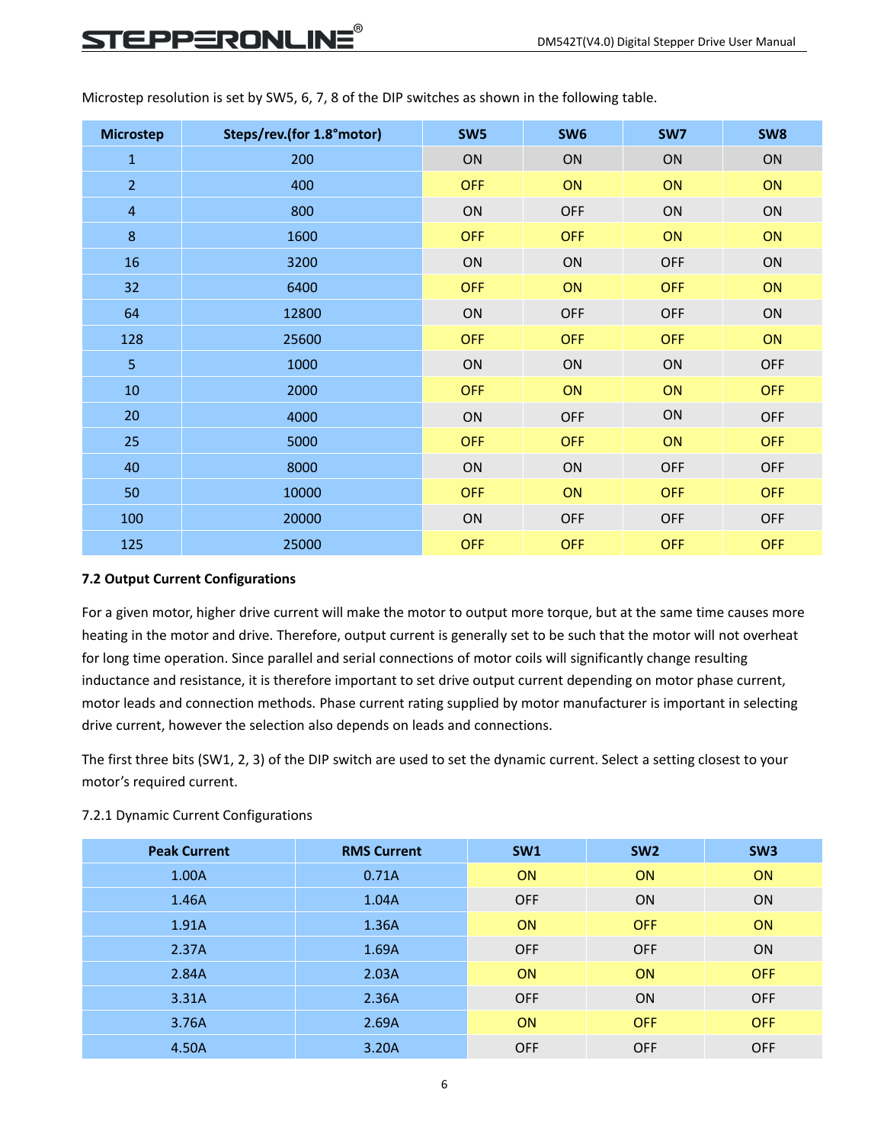| <b>Microstep</b> | Steps/rev.(for 1.8°motor) | SW <sub>5</sub> | SW <sub>6</sub> | SW7        | SW8           |
|------------------|---------------------------|-----------------|-----------------|------------|---------------|
| $\mathbf 1$      | 200                       | ON              | ON              | ON         | ON            |
| $\overline{2}$   | 400                       | <b>OFF</b>      | ON              | ON         | ON            |
| $\overline{4}$   | 800                       | ON              | <b>OFF</b>      | ON         | ON            |
| $\bf 8$          | 1600                      | <b>OFF</b>      | <b>OFF</b>      | ON         | ON            |
| 16               | 3200                      | ON              | ON              | <b>OFF</b> | ON            |
| 32               | 6400                      | <b>OFF</b>      | ON              | <b>OFF</b> | ON            |
| 64               | 12800                     | ON              | <b>OFF</b>      | <b>OFF</b> | $\mathsf{ON}$ |
| 128              | 25600                     | <b>OFF</b>      | <b>OFF</b>      | <b>OFF</b> | ON            |
| 5                | 1000                      | ON              | ON              | ON         | <b>OFF</b>    |
| 10               | 2000                      | <b>OFF</b>      | ON              | ON         | <b>OFF</b>    |
| 20               | 4000                      | ON              | <b>OFF</b>      | ON         | <b>OFF</b>    |
| 25               | 5000                      | <b>OFF</b>      | <b>OFF</b>      | ON         | <b>OFF</b>    |
| 40               | 8000                      | ON              | ON              | <b>OFF</b> | <b>OFF</b>    |
| 50               | 10000                     | <b>OFF</b>      | ON              | <b>OFF</b> | <b>OFF</b>    |
| 100              | 20000                     | ON              | OFF             | OFF        | <b>OFF</b>    |
| 125              | 25000                     | <b>OFF</b>      | <b>OFF</b>      | <b>OFF</b> | <b>OFF</b>    |

Microstep resolution is set by SW5, 6, 7, 8 of the DIP switches as shown in the following table.

#### <span id="page-7-0"></span>**7.2 Output Current Configurations**

For a given motor, higher drive current will make the motor to output more torque, but at the same time causes more heating in the motorand drive. Therefore, output current is generally set to be such that the motorwill not overheat for long time operation. Since parallel and serial connections of motor coils will significantly change resulting inductance and resistance, it is therefore important to set drive output current depending on motor phase current, motor leads and connection methods. Phase current rating supplied by motor manufacturer is important in selecting drive current, however the selection also depends on leads and connections.

The first three bits (SW1,2, 3) of the DIP switch are used to set the dynamic current. Select a setting closest to your motor's required current.

<span id="page-7-1"></span>

|  |  |  | 7.2.1 Dynamic Current Configurations |  |
|--|--|--|--------------------------------------|--|
|--|--|--|--------------------------------------|--|

| <b>Peak Current</b> | <b>RMS Current</b> | <b>SW1</b> | SW <sub>2</sub> | SW <sub>3</sub> |
|---------------------|--------------------|------------|-----------------|-----------------|
| 1.00A               | 0.71A              | ON         | <b>ON</b>       | <b>ON</b>       |
| 1.46A               | 1.04A              | <b>OFF</b> | <b>ON</b>       | <b>ON</b>       |
| 1.91A               | 1.36A              | <b>ON</b>  | <b>OFF</b>      | <b>ON</b>       |
| 2.37A               | 1.69A              | <b>OFF</b> | <b>OFF</b>      | <b>ON</b>       |
| 2.84A               | 2.03A              | <b>ON</b>  | <b>ON</b>       | OFF             |
| 3.31A               | 2.36A              | <b>OFF</b> | <b>ON</b>       | <b>OFF</b>      |
| 3.76A               | 2.69A              | <b>ON</b>  | <b>OFF</b>      | <b>OFF</b>      |
| 4.50A               | 3.20A              | <b>OFF</b> | <b>OFF</b>      | <b>OFF</b>      |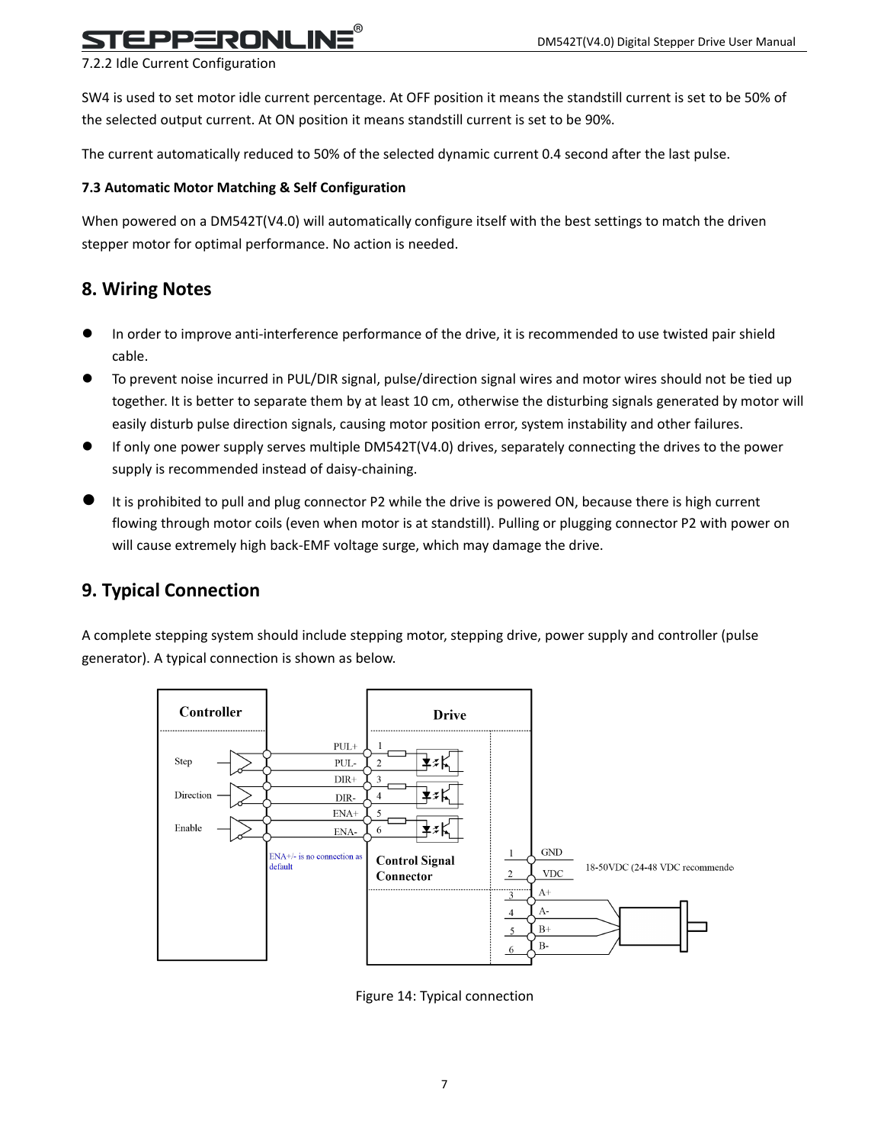## $\mathsf{EPP}\!\!\equiv\!\! \mathsf{RONLINE}^\circ$

#### <span id="page-8-0"></span>7.2.2 Idle Current Configuration

SW4 is used to set motor idle current percentage. At OFF position it means the standstill current is set to be 50% of the selected output current. At ON position it means standstill current is set to be 90%.

The current automatically reduced to 50% of the selected dynamic current 0.4 second after the last pulse.

#### <span id="page-8-1"></span>**7.3 Automatic Motor Matching & Self Configuration**

When powered on a DM542T(V4.0) will automatically configure itself with the best settings to match the driven stepper motor for optimal performance. No action is needed.

## <span id="page-8-2"></span>**8. Wiring Notes**

- In order to improve anti-interference performance of the drive, it is recommended to use twisted pair shield cable.
- To prevent noise incurred in PUL/DIR signal, pulse/direction signal wires and motor wires should not be tied up together. It is better to separate them by at least 10 cm, otherwise the disturbing signals generated by motor will easily disturb pulse direction signals, causing motor position error, system instability and other failures.
- If only one power supply serves multiple DM542T(V4.0) drives, separately connecting the drives to the power supply is recommended instead of daisy-chaining.
- It is prohibited to pull and plug connector P2 while the drive is powered ON, because there is high current flowing through motor coils (even when motor is at standstill). Pulling or plugging connector P2 with power on will cause extremely high back-EMF voltage surge, which may damage the drive.

## <span id="page-8-3"></span>**9. Typical Connection**

A complete stepping system should include stepping motor, stepping drive, power supply and controller (pulse generator). A typical connection is shown as below.



Figure 14: Typical connection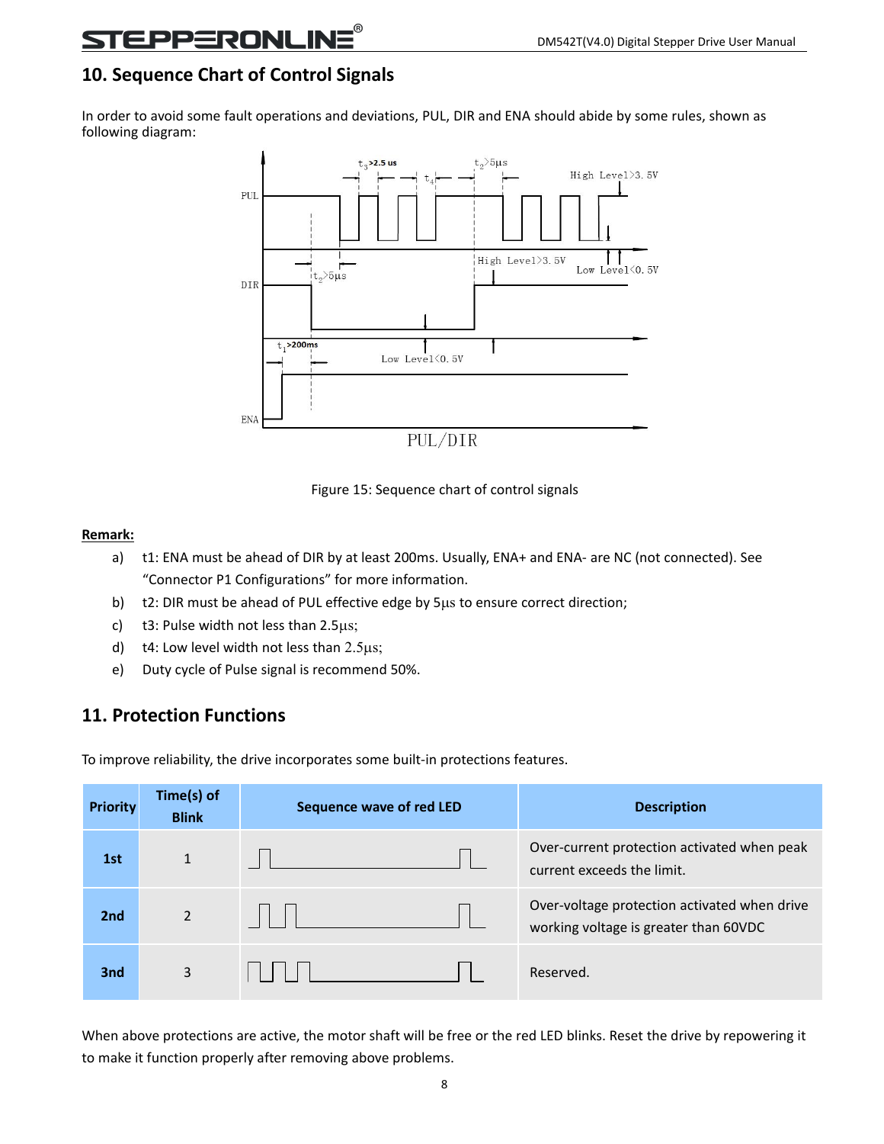## **STEPPERONLIN**

## <span id="page-9-0"></span>**10. Sequence Chart of Control Signals**

In order to avoid some fault operations and deviations, PUL, DIR and ENA should abide by some rules, shown as following diagram:



Figure 15: Sequence chart of control signals

#### **Remark:**

- a) t1: ENA must be ahead of DIR by at least 200ms. Usually, ENA+ and ENA- are NC (not connected). See "Connector P1 Configurations" for more information.
- b) t2: DIR must be ahead of PUL effective edge by 5us to ensure correct direction;
- c)  $t3$ : Pulse width not less than 2.5 $\mu$ s;
- d) t4: Low level width not less than  $2.5\mu s$ ;
- e) Duty cycle of Pulse signal is recommend 50%.

## <span id="page-9-1"></span>**11. Protection Functions**

To improve reliability, the drive incorporates some built-in protections features.

| <b>Priority</b> | Time(s) of<br><b>Blink</b> | <b>Sequence wave of red LED</b> | <b>Description</b>                                                                    |
|-----------------|----------------------------|---------------------------------|---------------------------------------------------------------------------------------|
| 1st             | $\mathbf{1}$               |                                 | Over-current protection activated when peak<br>current exceeds the limit.             |
| 2nd             | $\overline{2}$             |                                 | Over-voltage protection activated when drive<br>working voltage is greater than 60VDC |
| 3nd             | 3                          |                                 | Reserved.                                                                             |

When above protections are active, the motor shaft will be free or the red LED blinks. Reset the drive by repowering it to make it function properly after removing above problems.